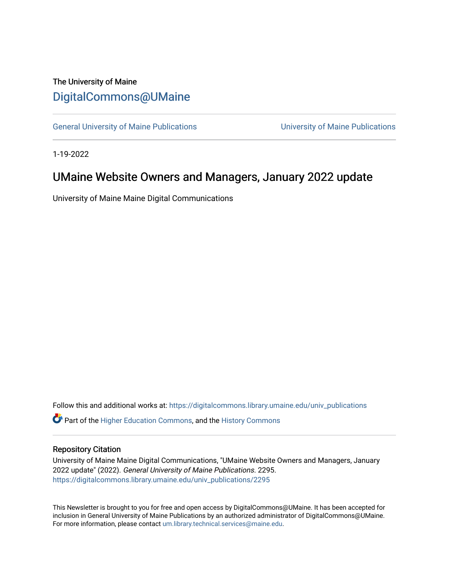# The University of Maine [DigitalCommons@UMaine](https://digitalcommons.library.umaine.edu/)

[General University of Maine Publications](https://digitalcommons.library.umaine.edu/univ_publications) [University of Maine Publications](https://digitalcommons.library.umaine.edu/umaine_publications) 

1-19-2022

# UMaine Website Owners and Managers, January 2022 update

University of Maine Maine Digital Communications

Follow this and additional works at: [https://digitalcommons.library.umaine.edu/univ\\_publications](https://digitalcommons.library.umaine.edu/univ_publications?utm_source=digitalcommons.library.umaine.edu%2Funiv_publications%2F2295&utm_medium=PDF&utm_campaign=PDFCoverPages) 

**C** Part of the [Higher Education Commons,](http://network.bepress.com/hgg/discipline/1245?utm_source=digitalcommons.library.umaine.edu%2Funiv_publications%2F2295&utm_medium=PDF&utm_campaign=PDFCoverPages) and the [History Commons](http://network.bepress.com/hgg/discipline/489?utm_source=digitalcommons.library.umaine.edu%2Funiv_publications%2F2295&utm_medium=PDF&utm_campaign=PDFCoverPages)

#### Repository Citation

University of Maine Maine Digital Communications, "UMaine Website Owners and Managers, January 2022 update" (2022). General University of Maine Publications. 2295. [https://digitalcommons.library.umaine.edu/univ\\_publications/2295](https://digitalcommons.library.umaine.edu/univ_publications/2295?utm_source=digitalcommons.library.umaine.edu%2Funiv_publications%2F2295&utm_medium=PDF&utm_campaign=PDFCoverPages)

This Newsletter is brought to you for free and open access by DigitalCommons@UMaine. It has been accepted for inclusion in General University of Maine Publications by an authorized administrator of DigitalCommons@UMaine. For more information, please contact [um.library.technical.services@maine.edu](mailto:um.library.technical.services@maine.edu).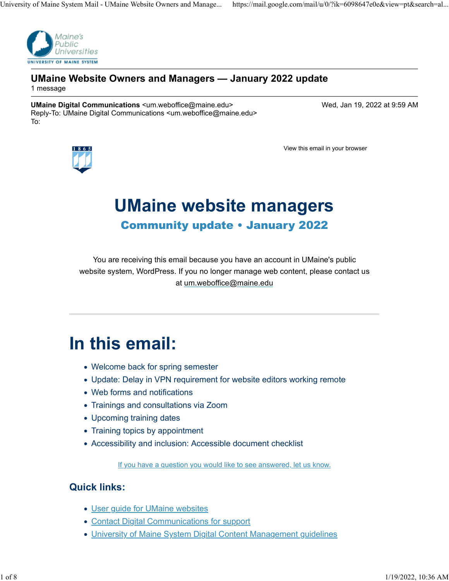

#### UMaine Website Owners and Managers — January 2022 update 1 message

UMaine Digital Communications <um.weboffice@maine.edu> Wed, Jan 19, 2022 at 9:59 AM Reply-To: UMaine Digital Communications <um.weboffice@maine.edu> To:



View this email in your browser

# UMaine website managers Community update • January 2022

You are receiving this email because you have an account in UMaine's public website system, WordPress. If you no longer manage web content, please contact us at um.weboffice@maine.edu

# In this email:

- Welcome back for spring semester
- Update: Delay in VPN requirement for website editors working remote
- Web forms and notifications
- Trainings and consultations via Zoom
- Upcoming training dates
- Training topics by appointment
- Accessibility and inclusion: Accessible document checklist

If you have a question you would like to see answered, let us know.

# Quick links:

- User guide for UMaine websites
- Contact Digital Communications for support
- University of Maine System Digital Content Management guidelines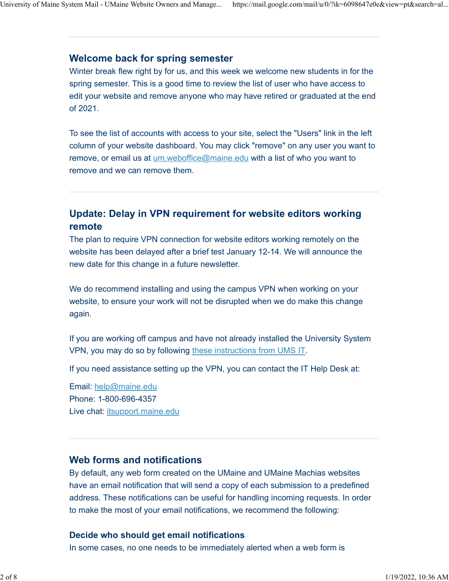# Welcome back for spring semester

Winter break flew right by for us, and this week we welcome new students in for the spring semester. This is a good time to review the list of user who have access to edit your website and remove anyone who may have retired or graduated at the end of 2021.

To see the list of accounts with access to your site, select the "Users" link in the left column of your website dashboard. You may click "remove" on any user you want to remove, or email us at um.weboffice@maine.edu with a list of who you want to remove and we can remove them.

# Update: Delay in VPN requirement for website editors working remote

The plan to require VPN connection for website editors working remotely on the website has been delayed after a brief test January 12-14. We will announce the new date for this change in a future newsletter.

We do recommend installing and using the campus VPN when working on your website, to ensure your work will not be disrupted when we do make this change again.

If you are working off campus and have not already installed the University System VPN, you may do so by following these instructions from UMS IT.

If you need assistance setting up the VPN, you can contact the IT Help Desk at:

Email: help@maine.edu Phone: 1-800-696-4357 Live chat: itsupport.maine.edu

# Web forms and notifications

By default, any web form created on the UMaine and UMaine Machias websites have an email notification that will send a copy of each submission to a predefined address. These notifications can be useful for handling incoming requests. In order to make the most of your email notifications, we recommend the following:

## Decide who should get email notifications

In some cases, no one needs to be immediately alerted when a web form is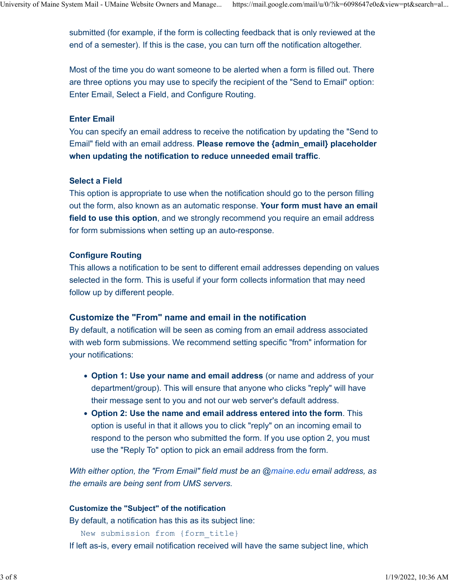submitted (for example, if the form is collecting feedback that is only reviewed at the end of a semester). If this is the case, you can turn off the notification altogether.

Most of the time you do want someone to be alerted when a form is filled out. There are three options you may use to specify the recipient of the "Send to Email" option: Enter Email, Select a Field, and Configure Routing.

#### Enter Email

You can specify an email address to receive the notification by updating the "Send to Email" field with an email address. Please remove the {admin\_email} placeholder when updating the notification to reduce unneeded email traffic.

#### Select a Field

This option is appropriate to use when the notification should go to the person filling out the form, also known as an automatic response. Your form must have an email field to use this option, and we strongly recommend you require an email address for form submissions when setting up an auto-response. ption is appropriate to use when the notification should go to the person filling<br>ption is appropriate to use when the notification should go to the person filling<br>o use this option, and we strongly recommend you require a

#### Configure Routing

This allows a notification to be sent to different email addresses depending on values selected in the form. This is useful if your form collects information that may need follow up by different people.

#### Customize the "From" name and email in the notification

By default, a notification will be seen as coming from an email address associated with web form submissions. We recommend setting specific "from" information for your notifications:

- department/group). This will ensure that anyone who clicks "reply" will have their message sent to you and not our web server's default address.
- Option 2: Use the name and email address entered into the form. This option is useful in that it allows you to click "reply" on an incoming email to respond to the person who submitted the form. If you use option 2, you must use the "Reply To" option to pick an email address from the form.

With either option, the "From Email" field must be an @maine.edu email address, as the emails are being sent from UMS servers.

#### Customize the "Subject" of the notification

By default, a notification has this as its subject line:

New submission from {form\_title}

If left as-is, every email notification received will have the same subject line, which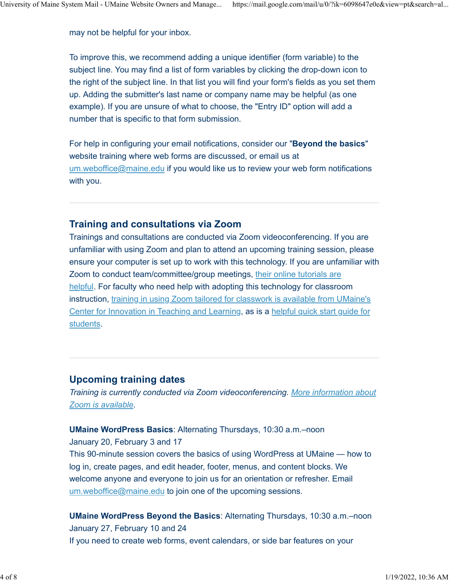may not be helpful for your inbox.

To improve this, we recommend adding a unique identifier (form variable) to the subject line. You may find a list of form variables by clicking the drop-down icon to the right of the subject line. In that list you will find your form's fields as you set them up. Adding the submitter's last name or company name may be helpful (as one example). If you are unsure of what to choose, the "Entry ID" option will add a number that is specific to that form submission.

For help in configuring your email notifications, consider our "**Beyond the basics**" website training where web forms are discussed, or email us at um.weboffice@maine.edu if you would like us to review your web form notifications with you.

## Training and consultations via Zoom

Trainings and consultations are conducted via Zoom videoconferencing. If you are unfamiliar with using Zoom and plan to attend an upcoming training session, please ensure your computer is set up to work with this technology. If you are unfamiliar with Zoom to conduct team/committee/group meetings, their online tutorials are helpful. For faculty who need help with adopting this technology for classroom instruction, training in using Zoom tailored for classwork is available from UMaine's Center for Innovation in Teaching and Learning, as is a helpful quick start guide for students.

## Upcoming training dates

Training is currently conducted via Zoom videoconferencing. More information about Zoom is available.

UMaine WordPress Basics: Alternating Thursdays, 10:30 a.m.–noon January 20, February 3 and 17

This 90-minute session covers the basics of using WordPress at UMaine — how to log in, create pages, and edit header, footer, menus, and content blocks. We welcome anyone and everyone to join us for an orientation or refresher. Email um.weboffice@maine.edu to join one of the upcoming sessions.

UMaine WordPress Beyond the Basics: Alternating Thursdays, 10:30 a.m.–noon January 27, February 10 and 24 If you need to create web forms, event calendars, or side bar features on your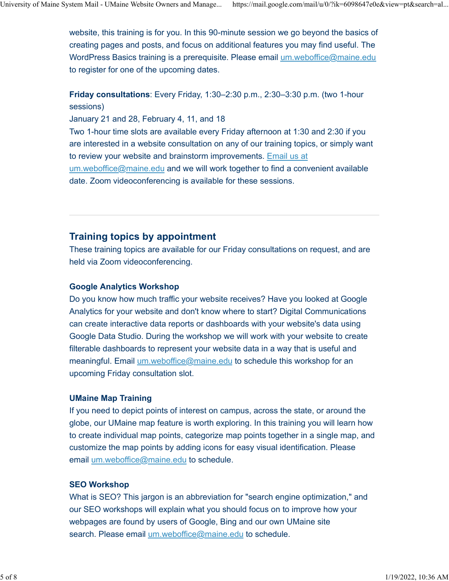website, this training is for you. In this 90-minute session we go beyond the basics of creating pages and posts, and focus on additional features you may find useful. The WordPress Basics training is a prerequisite. Please email um.weboffice@maine.edu to register for one of the upcoming dates.

Friday consultations: Every Friday, 1:30–2:30 p.m., 2:30–3:30 p.m. (two 1-hour sessions)

January 21 and 28, February 4, 11, and 18

Two 1-hour time slots are available every Friday afternoon at 1:30 and 2:30 if you are interested in a website consultation on any of our training topics, or simply want to review your website and brainstorm improvements. Email us at

um.weboffice@maine.edu and we will work together to find a convenient available date. Zoom videoconferencing is available for these sessions.

# Training topics by appointment

These training topics are available for our Friday consultations on request, and are held via Zoom videoconferencing.

## Google Analytics Workshop

Do you know how much traffic your website receives? Have you looked at Google Analytics for your website and don't know where to start? Digital Communications can create interactive data reports or dashboards with your website's data using Google Data Studio. During the workshop we will work with your website to create filterable dashboards to represent your website data in a way that is useful and meaningful. Email um.weboffice@maine.edu to schedule this workshop for an upcoming Friday consultation slot.

## UMaine Map Training

If you need to depict points of interest on campus, across the state, or around the globe, our UMaine map feature is worth exploring. In this training you will learn how to create individual map points, categorize map points together in a single map, and customize the map points by adding icons for easy visual identification. Please email um.weboffice@maine.edu to schedule.

## SEO Workshop

What is SEO? This jargon is an abbreviation for "search engine optimization," and our SEO workshops will explain what you should focus on to improve how your webpages are found by users of Google, Bing and our own UMaine site search. Please email um.weboffice@maine.edu to schedule.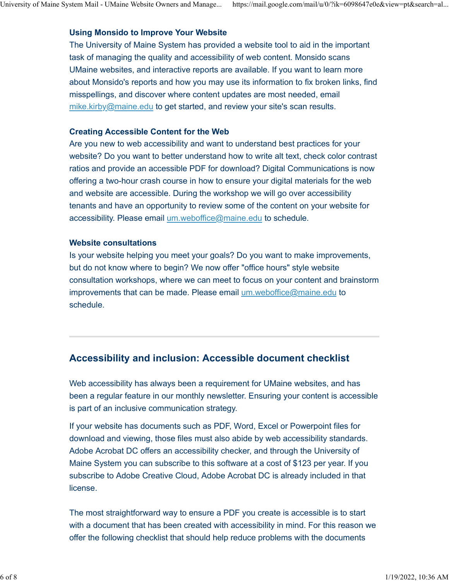#### Using Monsido to Improve Your Website

The University of Maine System has provided a website tool to aid in the important task of managing the quality and accessibility of web content. Monsido scans UMaine websites, and interactive reports are available. If you want to learn more about Monsido's reports and how you may use its information to fix broken links, find misspellings, and discover where content updates are most needed, email mike.kirby@maine.edu to get started, and review your site's scan results.

#### Creating Accessible Content for the Web

Are you new to web accessibility and want to understand best practices for your website? Do you want to better understand how to write alt text, check color contrast ratios and provide an accessible PDF for download? Digital Communications is now offering a two-hour crash course in how to ensure your digital materials for the web and website are accessible. During the workshop we will go over accessibility tenants and have an opportunity to review some of the content on your website for accessibility. Please email um.weboffice@maine.edu to schedule.

#### Website consultations

Is your website helping you meet your goals? Do you want to make improvements, but do not know where to begin? We now offer "office hours" style website consultation workshops, where we can meet to focus on your content and brainstorm improvements that can be made. Please email um.weboffice@maine.edu to schedule.

## Accessibility and inclusion: Accessible document checklist

Web accessibility has always been a requirement for UMaine websites, and has been a regular feature in our monthly newsletter. Ensuring your content is accessible is part of an inclusive communication strategy.

If your website has documents such as PDF, Word, Excel or Powerpoint files for download and viewing, those files must also abide by web accessibility standards. Adobe Acrobat DC offers an accessibility checker, and through the University of Maine System you can subscribe to this software at a cost of \$123 per year. If you subscribe to Adobe Creative Cloud, Adobe Acrobat DC is already included in that license.

The most straightforward way to ensure a PDF you create is accessible is to start with a document that has been created with accessibility in mind. For this reason we offer the following checklist that should help reduce problems with the documents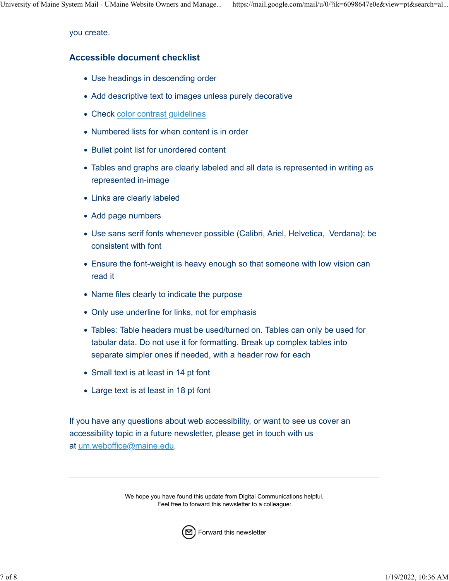you create.

#### Accessible document checklist

- Use headings in descending order
- Add descriptive text to images unless purely decorative
- Check color contrast guidelines
- Numbered lists for when content is in order
- Bullet point list for unordered content
- Tables and graphs are clearly labeled and all data is represented in writing as represented in-image
- Links are clearly labeled
- Add page numbers
- Use sans serif fonts whenever possible (Calibri, Ariel, Helvetica, Verdana); be consistent with font
- Ensure the font-weight is heavy enough so that someone with low vision can read it
- Name files clearly to indicate the purpose
- Only use underline for links, not for emphasis
- Tables: Table headers must be used/turned on. Tables can only be used for tabular data. Do not use it for formatting. Break up complex tables into separate simpler ones if needed, with a header row for each
- Small text is at least in 14 pt font
- Large text is at least in 18 pt font

If you have any questions about web accessibility, or want to see us cover an accessibility topic in a future newsletter, please get in touch with us at um.weboffice@maine.edu.

> We hope you have found this update from Digital Communications helpful. Feel free to forward this newsletter to a colleague: